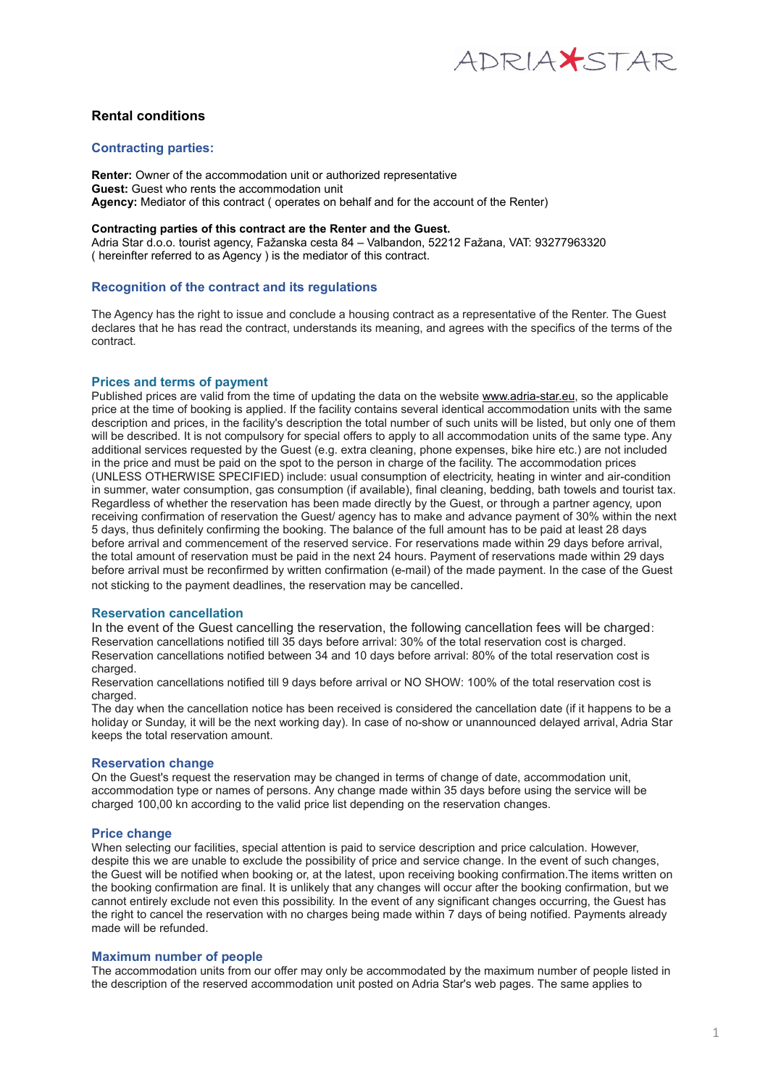

# **Rental conditions**

# **Contracting parties:**

**Renter:** Owner of the accommodation unit or authorized representative **Guest:** Guest who rents the accommodation unit **Agency:** Mediator of this contract ( operates on behalf and for the account of the Renter)

#### **Contracting parties of this contract are the Renter and the Guest.**

Adria Star d.o.o. tourist agency, Fažanska cesta 84 – Valbandon, 52212 Fažana, VAT: 93277963320 ( hereinfter referred to as Agency ) is the mediator of this contract.

# **Recognition of the contract and its regulations**

The Agency has the right to issue and conclude a housing contract as a representative of the Renter. The Guest declares that he has read the contract, understands its meaning, and agrees with the specifics of the terms of the contract.

### **Prices and terms of payment**

Published prices are valid from the time of updating the data on the website [www.adria-star.eu,](http://www.adria-star.eu/) so the applicable price at the time of booking is applied. If the facility contains several identical accommodation units with the same description and prices, in the facility's description the total number of such units will be listed, but only one of them will be described. It is not compulsory for special offers to apply to all accommodation units of the same type. Any additional services requested by the Guest (e.g. extra cleaning, phone expenses, bike hire etc.) are not included in the price and must be paid on the spot to the person in charge of the facility. The accommodation prices (UNLESS OTHERWISE SPECIFIED) include: usual consumption of electricity, heating in winter and air-condition in summer, water consumption, gas consumption (if available), final cleaning, bedding, bath towels and tourist tax. Regardless of whether the reservation has been made directly by the Guest, or through a partner agency, upon receiving confirmation of reservation the Guest/ agency has to make and advance payment of 30% within the next 5 days, thus definitely confirming the booking. The balance of the full amount has to be paid at least 28 days before arrival and commencement of the reserved service. For reservations made within 29 days before arrival, the total amount of reservation must be paid in the next 24 hours. Payment of reservations made within 29 days before arrival must be reconfirmed by written confirmation (e-mail) of the made payment. In the case of the Guest not sticking to the payment deadlines, the reservation may be cancelled.

### **Reservation cancellation**

In the event of the Guest cancelling the reservation, the following cancellation fees will be charged: Reservation cancellations notified till 35 days before arrival: 30% of the total reservation cost is charged. Reservation cancellations notified between 34 and 10 days before arrival: 80% of the total reservation cost is charged.

Reservation cancellations notified till 9 days before arrival or NO SHOW: 100% of the total reservation cost is charged.

The day when the cancellation notice has been received is considered the cancellation date (if it happens to be a holiday or Sunday, it will be the next working day). In case of no-show or unannounced delayed arrival, Adria Star keeps the total reservation amount.

### **Reservation change**

On the Guest's request the reservation may be changed in terms of change of date, accommodation unit, accommodation type or names of persons. Any change made within 35 days before using the service will be charged 100,00 kn according to the valid price list depending on the reservation changes.

### **Price change**

When selecting our facilities, special attention is paid to service description and price calculation. However, despite this we are unable to exclude the possibility of price and service change. In the event of such changes, the Guest will be notified when booking or, at the latest, upon receiving booking confirmation.The items written on the booking confirmation are final. It is unlikely that any changes will occur after the booking confirmation, but we cannot entirely exclude not even this possibility. In the event of any significant changes occurring, the Guest has the right to cancel the reservation with no charges being made within 7 days of being notified. Payments already made will be refunded.

### **Maximum number of people**

The accommodation units from our offer may only be accommodated by the maximum number of people listed in the description of the reserved accommodation unit posted on Adria Star's web pages. The same applies to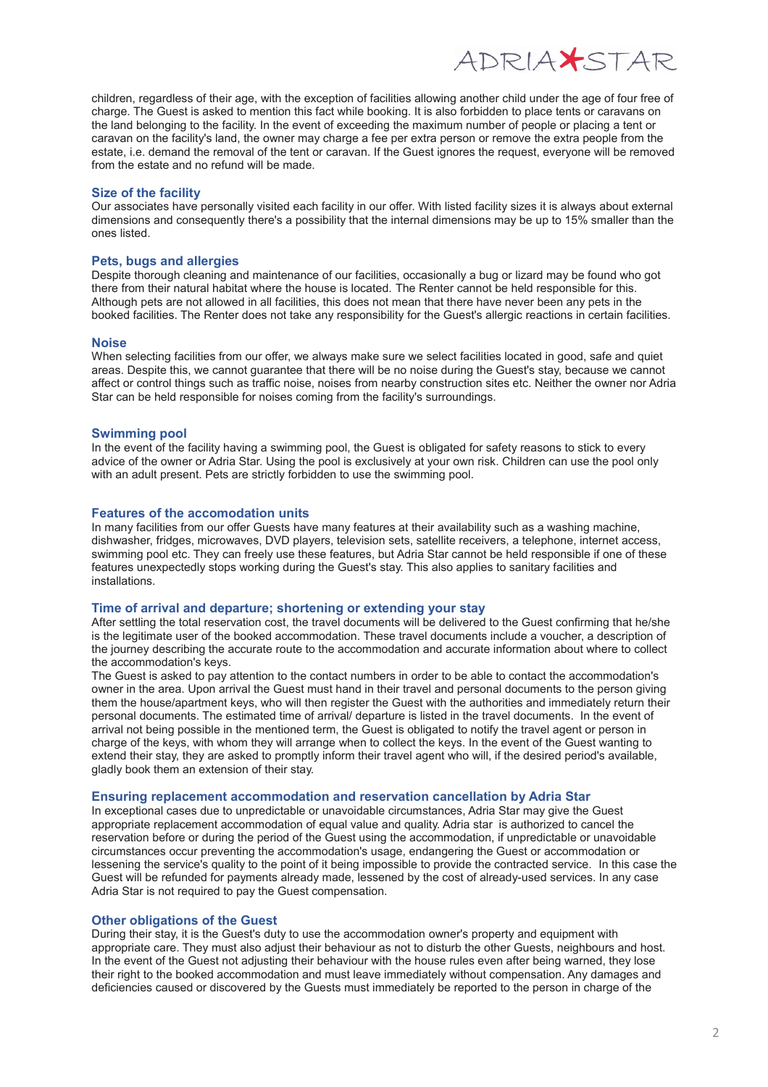ADRIAXSTAR

children, regardless of their age, with the exception of facilities allowing another child under the age of four free of charge. The Guest is asked to mention this fact while booking. It is also forbidden to place tents or caravans on the land belonging to the facility. In the event of exceeding the maximum number of people or placing a tent or caravan on the facility's land, the owner may charge a fee per extra person or remove the extra people from the estate, i.e. demand the removal of the tent or caravan. If the Guest ignores the request, everyone will be removed from the estate and no refund will be made.

### **Size of the facility**

Our associates have personally visited each facility in our offer. With listed facility sizes it is always about external dimensions and consequently there's a possibility that the internal dimensions may be up to 15% smaller than the ones listed.

### **Pets, bugs and allergies**

Despite thorough cleaning and maintenance of our facilities, occasionally a bug or lizard may be found who got there from their natural habitat where the house is located. The Renter cannot be held responsible for this. Although pets are not allowed in all facilities, this does not mean that there have never been any pets in the booked facilities. The Renter does not take any responsibility for the Guest's allergic reactions in certain facilities.

#### **Noise**

When selecting facilities from our offer, we always make sure we select facilities located in good, safe and quiet areas. Despite this, we cannot guarantee that there will be no noise during the Guest's stay, because we cannot affect or control things such as traffic noise, noises from nearby construction sites etc. Neither the owner nor Adria Star can be held responsible for noises coming from the facility's surroundings.

#### **Swimming pool**

In the event of the facility having a swimming pool, the Guest is obligated for safety reasons to stick to every advice of the owner or Adria Star. Using the pool is exclusively at your own risk. Children can use the pool only with an adult present. Pets are strictly forbidden to use the swimming pool.

#### **Features of the accomodation units**

In many facilities from our offer Guests have many features at their availability such as a washing machine, dishwasher, fridges, microwaves, DVD players, television sets, satellite receivers, a telephone, internet access, swimming pool etc. They can freely use these features, but Adria Star cannot be held responsible if one of these features unexpectedly stops working during the Guest's stay. This also applies to sanitary facilities and installations.

#### **Time of arrival and departure; shortening or extending your stay**

After settling the total reservation cost, the travel documents will be delivered to the Guest confirming that he/she is the legitimate user of the booked accommodation. These travel documents include a voucher, a description of the journey describing the accurate route to the accommodation and accurate information about where to collect the accommodation's keys.

The Guest is asked to pay attention to the contact numbers in order to be able to contact the accommodation's owner in the area. Upon arrival the Guest must hand in their travel and personal documents to the person giving them the house/apartment keys, who will then register the Guest with the authorities and immediately return their personal documents. The estimated time of arrival/ departure is listed in the travel documents. In the event of arrival not being possible in the mentioned term, the Guest is obligated to notify the travel agent or person in charge of the keys, with whom they will arrange when to collect the keys. In the event of the Guest wanting to extend their stay, they are asked to promptly inform their travel agent who will, if the desired period's available, gladly book them an extension of their stay.

### **Ensuring replacement accommodation and reservation cancellation by Adria Star**

In exceptional cases due to unpredictable or unavoidable circumstances, Adria Star may give the Guest appropriate replacement accommodation of equal value and quality. Adria star is authorized to cancel the reservation before or during the period of the Guest using the accommodation, if unpredictable or unavoidable circumstances occur preventing the accommodation's usage, endangering the Guest or accommodation or lessening the service's quality to the point of it being impossible to provide the contracted service. In this case the Guest will be refunded for payments already made, lessened by the cost of already-used services. In any case Adria Star is not required to pay the Guest compensation.

#### **Other obligations of the Guest**

During their stay, it is the Guest's duty to use the accommodation owner's property and equipment with appropriate care. They must also adjust their behaviour as not to disturb the other Guests, neighbours and host. In the event of the Guest not adjusting their behaviour with the house rules even after being warned, they lose their right to the booked accommodation and must leave immediately without compensation. Any damages and deficiencies caused or discovered by the Guests must immediately be reported to the person in charge of the